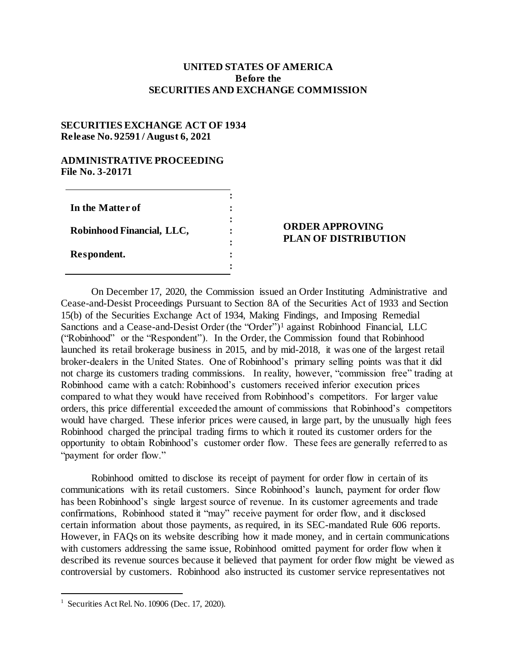## **UNITED STATES OF AMERICA Before the SECURITIES AND EXCHANGE COMMISSION**

## **SECURITIES EXCHANGE ACT OF 1934 Release No. 92591 / August 6, 2021**

## **ADMINISTRATIVE PROCEEDING File No. 3-20171**

| In the Matter of          |  |
|---------------------------|--|
| Robinhood Financial, LLC, |  |
| Respondent.               |  |

## **ORDER APPROVING PLAN OF DISTRIBUTION**

On December 17, 2020, the Commission issued an Order Instituting Administrative and Cease-and-Desist Proceedings Pursuant to Section 8A of the Securities Act of 1933 and Section 15(b) of the Securities Exchange Act of 1934, Making Findings, and Imposing Remedial Sanctions and a Cease-and-Desist Order (the "Order")<sup>1</sup> against Robinhood Financial, LLC ("Robinhood" or the "Respondent"). In the Order, the Commission found that Robinhood launched its retail brokerage business in 2015, and by mid-2018, it was one of the largest retail broker-dealers in the United States. One of Robinhood's primary selling points was that it did not charge its customers trading commissions. In reality, however, "commission free" trading at Robinhood came with a catch: Robinhood's customers received inferior execution prices compared to what they would have received from Robinhood's competitors. For larger value orders, this price differential exceeded the amount of commissions that Robinhood's competitors would have charged. These inferior prices were caused, in large part, by the unusually high fees Robinhood charged the principal trading firms to which it routed its customer orders for the opportunity to obtain Robinhood's customer order flow. These fees are generally referred to as "payment for order flow."

Robinhood omitted to disclose its receipt of payment for order flow in certain of its communications with its retail customers. Since Robinhood's launch, payment for order flow has been Robinhood's single largest source of revenue. In its customer agreements and trade confirmations, Robinhood stated it "may" receive payment for order flow, and it disclosed certain information about those payments, as required, in its SEC-mandated Rule 606 reports. However, in FAQs on its website describing how it made money, and in certain communications with customers addressing the same issue, Robinhood omitted payment for order flow when it described its revenue sources because it believed that payment for order flow might be viewed as controversial by customers. Robinhood also instructed its customer service representatives not

l

<sup>&</sup>lt;sup>1</sup> Securities Act Rel. No. 10906 (Dec. 17, 2020).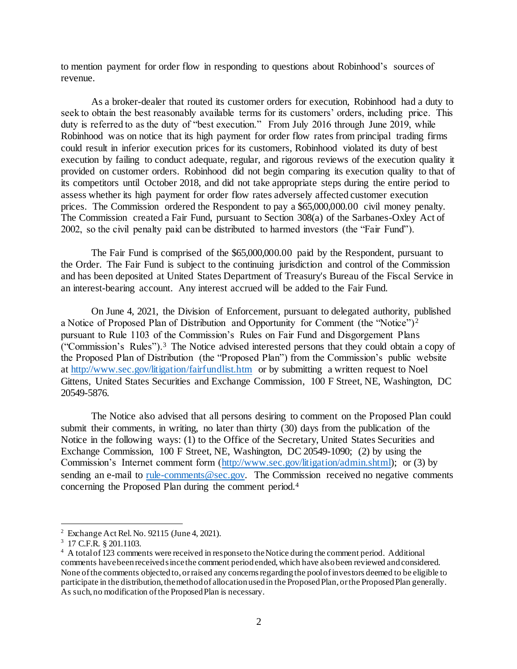to mention payment for order flow in responding to questions about Robinhood's sources of revenue.

As a broker-dealer that routed its customer orders for execution, Robinhood had a duty to seek to obtain the best reasonably available terms for its customers' orders, including price. This duty is referred to as the duty of "best execution." From July 2016 through June 2019, while Robinhood was on notice that its high payment for order flow rates from principal trading firms could result in inferior execution prices for its customers, Robinhood violated its duty of best execution by failing to conduct adequate, regular, and rigorous reviews of the execution quality it provided on customer orders. Robinhood did not begin comparing its execution quality to that of its competitors until October 2018, and did not take appropriate steps during the entire period to assess whether its high payment for order flow rates adversely affected customer execution prices. The Commission ordered the Respondent to pay a \$65,000,000.00 civil money penalty. The Commission created a Fair Fund, pursuant to Section 308(a) of the Sarbanes-Oxley Act of 2002, so the civil penalty paid can be distributed to harmed investors (the "Fair Fund").

The Fair Fund is comprised of the \$65,000,000.00 paid by the Respondent, pursuant to the Order. The Fair Fund is subject to the continuing jurisdiction and control of the Commission and has been deposited at United States Department of Treasury's Bureau of the Fiscal Service in an interest-bearing account. Any interest accrued will be added to the Fair Fund.

On June 4, 2021, the Division of Enforcement, pursuant to delegated authority, published a Notice of Proposed Plan of Distribution and Opportunity for Comment (the "Notice")<sup>2</sup> pursuant to Rule 1103 of the Commission's Rules on Fair Fund and Disgorgement Plans ("Commission's Rules").<sup>3</sup> The Notice advised interested persons that they could obtain a copy of the Proposed Plan of Distribution (the "Proposed Plan") from the Commission's public website a[t http://www.sec.gov/litigation/fairfundlist.htm](http://www.sec.gov/litigation/fairfundlist.htm) or by submitting a written request to Noel Gittens, United States Securities and Exchange Commission, 100 F Street, NE, Washington, DC 20549-5876.

The Notice also advised that all persons desiring to comment on the Proposed Plan could submit their comments, in writing, no later than thirty (30) days from the publication of the Notice in the following ways: (1) to the Office of the Secretary, United States Securities and Exchange Commission, 100 F Street, NE, Washington, DC 20549-1090; (2) by using the Commission's Internet comment form [\(http://www.sec.gov/litigation/admin.shtml\);](http://www.sec.gov/litigation/admin.shtml) or (3) by sending an e-mail to rule-comments  $@sec.gov$ . The Commission received no negative comments concerning the Proposed Plan during the comment period.<sup>4</sup>

l

<sup>2</sup> Exchange Act Rel. No. 92115 (June 4, 2021).

<sup>3</sup> 17 C.F.R. § 201.1103.

<sup>&</sup>lt;sup>4</sup> A total of 123 comments were received in response to the Notice during the comment period. Additional comments have been received since the comment period ended, which have also been reviewed and considered. None of the comments objected to, or raised any concerns regarding the pool of investors deemed to be eligible to participate in the distribution, the method of allocation used in the Proposed Plan, or the Proposed Plan generally. As such, no modification of the Proposed Plan is necessary.